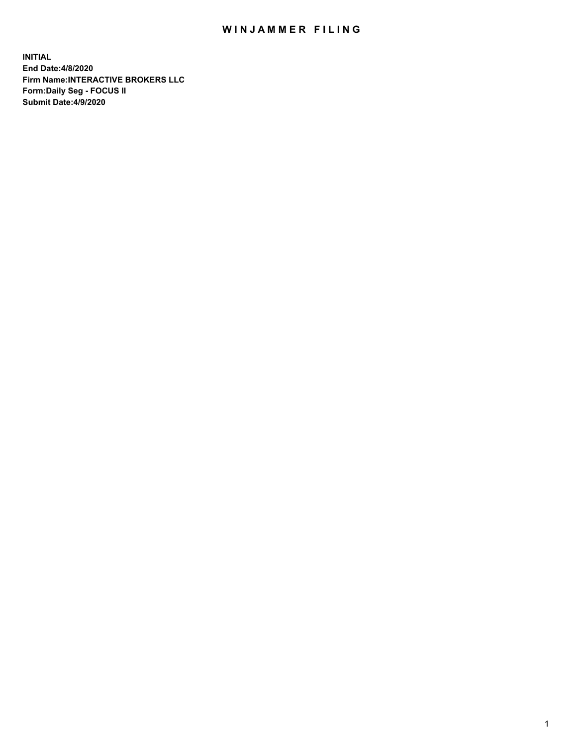## WIN JAMMER FILING

**INITIAL End Date:4/8/2020 Firm Name:INTERACTIVE BROKERS LLC Form:Daily Seg - FOCUS II Submit Date:4/9/2020**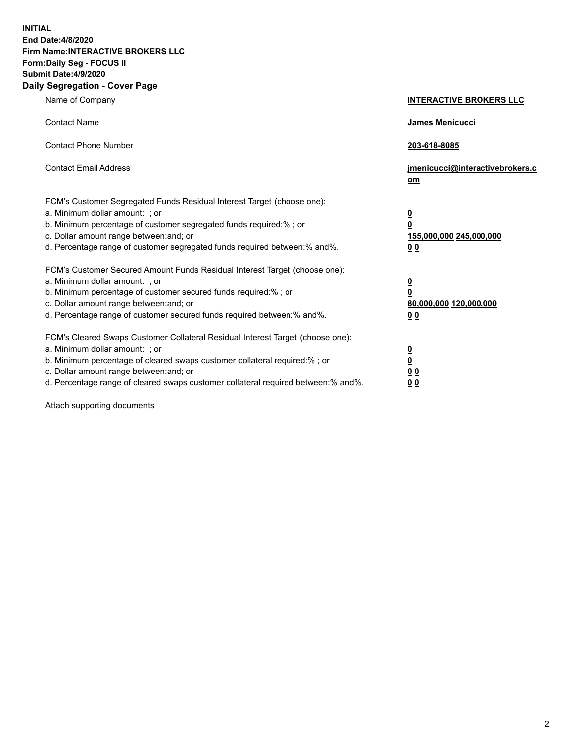**INITIAL End Date:4/8/2020 Firm Name:INTERACTIVE BROKERS LLC Form:Daily Seg - FOCUS II Submit Date:4/9/2020 Daily Segregation - Cover Page**

| Name of Company                                                                                                                                                                                                                                                                                                                | <b>INTERACTIVE BROKERS LLC</b>                                                                 |
|--------------------------------------------------------------------------------------------------------------------------------------------------------------------------------------------------------------------------------------------------------------------------------------------------------------------------------|------------------------------------------------------------------------------------------------|
| <b>Contact Name</b>                                                                                                                                                                                                                                                                                                            | James Menicucci                                                                                |
| <b>Contact Phone Number</b>                                                                                                                                                                                                                                                                                                    | 203-618-8085                                                                                   |
| <b>Contact Email Address</b>                                                                                                                                                                                                                                                                                                   | jmenicucci@interactivebrokers.c<br>om                                                          |
| FCM's Customer Segregated Funds Residual Interest Target (choose one):<br>a. Minimum dollar amount: ; or<br>b. Minimum percentage of customer segregated funds required:% ; or<br>c. Dollar amount range between: and; or<br>d. Percentage range of customer segregated funds required between: % and %.                       | $\overline{\mathbf{0}}$<br>$\overline{\mathbf{0}}$<br>155,000,000 245,000,000<br><u>00</u>     |
| FCM's Customer Secured Amount Funds Residual Interest Target (choose one):<br>a. Minimum dollar amount: ; or<br>b. Minimum percentage of customer secured funds required:% ; or<br>c. Dollar amount range between: and; or<br>d. Percentage range of customer secured funds required between:% and%.                           | $\overline{\mathbf{0}}$<br>$\overline{\mathbf{0}}$<br>80,000,000 120,000,000<br>0 <sub>0</sub> |
| FCM's Cleared Swaps Customer Collateral Residual Interest Target (choose one):<br>a. Minimum dollar amount: ; or<br>b. Minimum percentage of cleared swaps customer collateral required:% ; or<br>c. Dollar amount range between: and; or<br>d. Percentage range of cleared swaps customer collateral required between:% and%. | $\frac{0}{0}$<br>0 <sub>0</sub><br>0 <sub>0</sub>                                              |

Attach supporting documents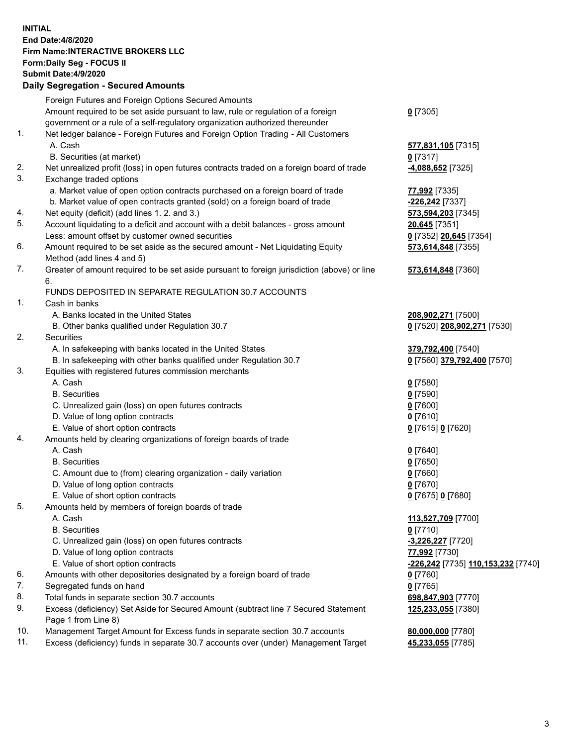## **INITIAL End Date:4/8/2020 Firm Name:INTERACTIVE BROKERS LLC Form:Daily Seg - FOCUS II Submit Date:4/9/2020 Daily Segregation - Secured Amounts**

|                | 00g.0gaaon 000a.0a7aoa                                                                                     |                                                          |
|----------------|------------------------------------------------------------------------------------------------------------|----------------------------------------------------------|
|                | Foreign Futures and Foreign Options Secured Amounts                                                        |                                                          |
|                | Amount required to be set aside pursuant to law, rule or regulation of a foreign                           | $0$ [7305]                                               |
|                | government or a rule of a self-regulatory organization authorized thereunder                               |                                                          |
| 1.             | Net ledger balance - Foreign Futures and Foreign Option Trading - All Customers                            |                                                          |
|                | A. Cash                                                                                                    | 577,831,105 [7315]                                       |
|                | B. Securities (at market)                                                                                  | $0$ [7317]                                               |
| 2.             | Net unrealized profit (loss) in open futures contracts traded on a foreign board of trade                  | -4,088,652 [7325]                                        |
| 3.             | Exchange traded options                                                                                    |                                                          |
|                | a. Market value of open option contracts purchased on a foreign board of trade                             | 77,992 [7335]                                            |
|                | b. Market value of open contracts granted (sold) on a foreign board of trade                               | <mark>-226,242</mark> [7337]                             |
| 4.             | Net equity (deficit) (add lines 1. 2. and 3.)                                                              | 573,594,203 [7345]                                       |
| 5.             | Account liquidating to a deficit and account with a debit balances - gross amount                          | 20,645 [7351]                                            |
|                | Less: amount offset by customer owned securities                                                           | 0 [7352] 20,645 [7354]                                   |
| 6.             | Amount required to be set aside as the secured amount - Net Liquidating Equity                             | 573,614,848 [7355]                                       |
|                | Method (add lines 4 and 5)                                                                                 |                                                          |
| 7.             | Greater of amount required to be set aside pursuant to foreign jurisdiction (above) or line<br>6.          | 573,614,848 [7360]                                       |
|                | FUNDS DEPOSITED IN SEPARATE REGULATION 30.7 ACCOUNTS                                                       |                                                          |
| $\mathbf{1}$ . | Cash in banks                                                                                              |                                                          |
|                | A. Banks located in the United States                                                                      | 208,902,271 [7500]                                       |
|                | B. Other banks qualified under Regulation 30.7                                                             | 0 [7520] 208,902,271 [7530]                              |
| 2.             | Securities                                                                                                 |                                                          |
|                | A. In safekeeping with banks located in the United States                                                  | 379,792,400 [7540]                                       |
|                | B. In safekeeping with other banks qualified under Regulation 30.7                                         | 0 [7560] 379,792,400 [7570]                              |
| 3.             | Equities with registered futures commission merchants                                                      |                                                          |
|                | A. Cash                                                                                                    | $0$ [7580]                                               |
|                | <b>B.</b> Securities                                                                                       | $0$ [7590]                                               |
|                | C. Unrealized gain (loss) on open futures contracts                                                        | $0$ [7600]                                               |
|                | D. Value of long option contracts                                                                          | $0$ [7610]                                               |
|                | E. Value of short option contracts                                                                         | 0 [7615] 0 [7620]                                        |
| 4.             | Amounts held by clearing organizations of foreign boards of trade                                          |                                                          |
|                | A. Cash                                                                                                    | $0$ [7640]                                               |
|                | <b>B.</b> Securities                                                                                       | $0$ [7650]                                               |
|                | C. Amount due to (from) clearing organization - daily variation                                            | $0$ [7660]                                               |
|                | D. Value of long option contracts                                                                          | $0$ [7670]                                               |
|                | E. Value of short option contracts                                                                         | 0 [7675] 0 [7680]                                        |
| 5.             | Amounts held by members of foreign boards of trade                                                         |                                                          |
|                | A. Cash                                                                                                    | 113,527,709 [7700]                                       |
|                | <b>B.</b> Securities                                                                                       | $0$ [7710]                                               |
|                | C. Unrealized gain (loss) on open futures contracts                                                        | -3,226,227 [7720]                                        |
|                | D. Value of long option contracts                                                                          | 77,992 [7730]                                            |
|                | E. Value of short option contracts                                                                         | <u>-<b>226,242</b> [</u> 7735] <u>110,153,232</u> [7740] |
| 6.             | Amounts with other depositories designated by a foreign board of trade                                     | 0 [7760]                                                 |
| 7.             | Segregated funds on hand                                                                                   | $0$ [7765]                                               |
| 8.             | Total funds in separate section 30.7 accounts                                                              | 698,847,903 [7770]                                       |
| 9.             | Excess (deficiency) Set Aside for Secured Amount (subtract line 7 Secured Statement<br>Page 1 from Line 8) | 125,233,055 [7380]                                       |
| 10.            | Management Target Amount for Excess funds in separate section 30.7 accounts                                | 80,000,000 [7780]                                        |
| 11.            | Excess (deficiency) funds in separate 30.7 accounts over (under) Management Target                         | 45,233,055 [7785]                                        |
|                |                                                                                                            |                                                          |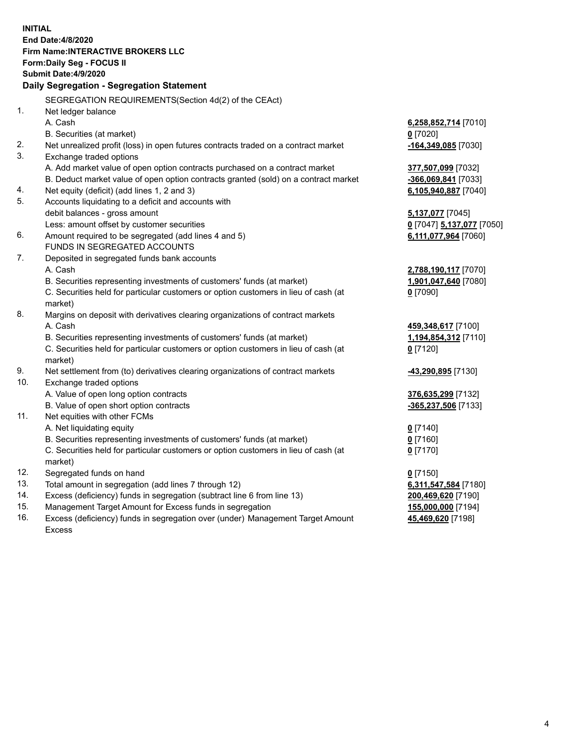|     | <b>INITIAL</b>                                                                                                |                                           |
|-----|---------------------------------------------------------------------------------------------------------------|-------------------------------------------|
|     | End Date: 4/8/2020                                                                                            |                                           |
|     | <b>Firm Name:INTERACTIVE BROKERS LLC</b>                                                                      |                                           |
|     | Form: Daily Seg - FOCUS II                                                                                    |                                           |
|     | <b>Submit Date: 4/9/2020</b>                                                                                  |                                           |
|     | Daily Segregation - Segregation Statement                                                                     |                                           |
|     |                                                                                                               |                                           |
| 1.  | SEGREGATION REQUIREMENTS(Section 4d(2) of the CEAct)                                                          |                                           |
|     | Net ledger balance<br>A. Cash                                                                                 |                                           |
|     |                                                                                                               | 6,258,852,714 [7010]                      |
| 2.  | B. Securities (at market)                                                                                     | $0$ [7020]                                |
| 3.  | Net unrealized profit (loss) in open futures contracts traded on a contract market<br>Exchange traded options | -164,349,085 [7030]                       |
|     | A. Add market value of open option contracts purchased on a contract market                                   |                                           |
|     | B. Deduct market value of open option contracts granted (sold) on a contract market                           | 377,507,099 [7032]<br>-366,069,841 [7033] |
| 4.  | Net equity (deficit) (add lines 1, 2 and 3)                                                                   | 6,105,940,887 [7040]                      |
| 5.  | Accounts liquidating to a deficit and accounts with                                                           |                                           |
|     | debit balances - gross amount                                                                                 | 5,137,077 [7045]                          |
|     | Less: amount offset by customer securities                                                                    | 0 [7047] 5,137,077 [7050]                 |
| 6.  | Amount required to be segregated (add lines 4 and 5)                                                          | 6,111,077,964 [7060]                      |
|     | FUNDS IN SEGREGATED ACCOUNTS                                                                                  |                                           |
| 7.  | Deposited in segregated funds bank accounts                                                                   |                                           |
|     | A. Cash                                                                                                       | 2,788,190,117 [7070]                      |
|     | B. Securities representing investments of customers' funds (at market)                                        | 1,901,047,640 [7080]                      |
|     | C. Securities held for particular customers or option customers in lieu of cash (at                           | $0$ [7090]                                |
|     | market)                                                                                                       |                                           |
| 8.  | Margins on deposit with derivatives clearing organizations of contract markets                                |                                           |
|     | A. Cash                                                                                                       | 459,348,617 [7100]                        |
|     | B. Securities representing investments of customers' funds (at market)                                        | 1,194,854,312 [7110]                      |
|     | C. Securities held for particular customers or option customers in lieu of cash (at                           | $0$ [7120]                                |
|     | market)                                                                                                       |                                           |
| 9.  | Net settlement from (to) derivatives clearing organizations of contract markets                               | -43,290,895 [7130]                        |
| 10. | Exchange traded options                                                                                       |                                           |
|     | A. Value of open long option contracts                                                                        | 376,635,299 [7132]                        |
|     | B. Value of open short option contracts                                                                       | -365,237,506 [7133]                       |
| 11. | Net equities with other FCMs                                                                                  |                                           |
|     | A. Net liquidating equity                                                                                     | $0$ [7140]                                |
|     | B. Securities representing investments of customers' funds (at market)                                        | $0$ [7160]                                |
|     | C. Securities held for particular customers or option customers in lieu of cash (at                           | $0$ [7170]                                |
|     | market)                                                                                                       |                                           |
| 12. | Segregated funds on hand                                                                                      | $0$ [7150]                                |
| 13. | Total amount in segregation (add lines 7 through 12)                                                          | 6,311,547,584 [7180]                      |
| 14. | Excess (deficiency) funds in segregation (subtract line 6 from line 13)                                       | 200,469,620 [7190]                        |
| 15. | Management Target Amount for Excess funds in segregation                                                      | 155,000,000 [7194]                        |
| 16. | Excess (deficiency) funds in segregation over (under) Management Target Amount                                | 45,469,620 [7198]                         |

Excess